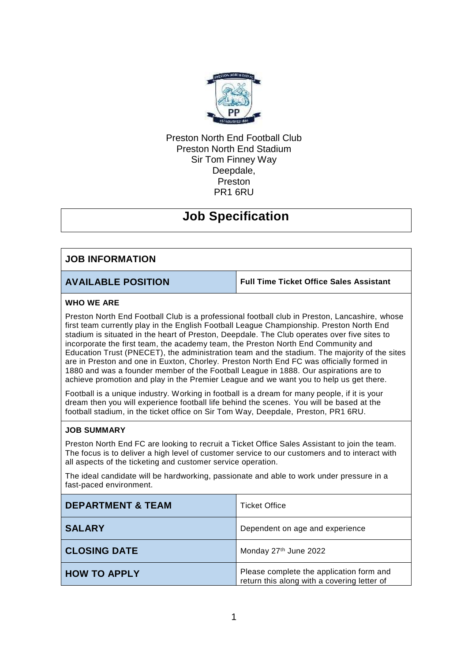

## Preston North End Football Club Preston North End Stadium Sir Tom Finney Way Deepdale, Preston PR1 6RU

# **Job Specification**

## **JOB INFORMATION**

**AVAILABLE POSITION Full Time Ticket Office Sales Assistant** 

### **WHO WE ARE**

Preston North End Football Club is a professional football club in Preston, Lancashire, whose first team currently play in the English Football League Championship. Preston North End stadium is situated in the heart of Preston, Deepdale. The Club operates over five sites to incorporate the first team, the academy team, the Preston North End Community and Education Trust (PNECET), the administration team and the stadium. The majority of the sites are in Preston and one in Euxton, Chorley. Preston North End FC was officially formed in 1880 and was a founder member of the Football League in 1888. Our aspirations are to achieve promotion and play in the Premier League and we want you to help us get there.

Football is a unique industry. Working in football is a dream for many people, if it is your dream then you will experience football life behind the scenes. You will be based at the football stadium, in the ticket office on Sir Tom Way, Deepdale, Preston, PR1 6RU.

### **JOB SUMMARY**

Preston North End FC are looking to recruit a Ticket Office Sales Assistant to join the team. The focus is to deliver a high level of customer service to our customers and to interact with all aspects of the ticketing and customer service operation.

The ideal candidate will be hardworking, passionate and able to work under pressure in a fast-paced environment.

| <b>DEPARTMENT &amp; TEAM</b> | <b>Ticket Office</b>                                                                    |
|------------------------------|-----------------------------------------------------------------------------------------|
| <b>SALARY</b>                | Dependent on age and experience                                                         |
| <b>CLOSING DATE</b>          | Monday 27th June 2022                                                                   |
| <b>HOW TO APPLY</b>          | Please complete the application form and<br>return this along with a covering letter of |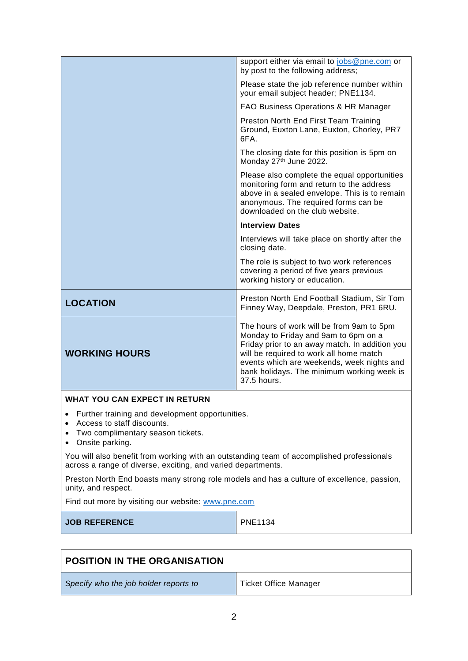|                                                                                                                                                                 | support either via email to jobs@pne.com or<br>by post to the following address;                                                                                                                                                                                                          |
|-----------------------------------------------------------------------------------------------------------------------------------------------------------------|-------------------------------------------------------------------------------------------------------------------------------------------------------------------------------------------------------------------------------------------------------------------------------------------|
|                                                                                                                                                                 | Please state the job reference number within<br>your email subject header; PNE1134.                                                                                                                                                                                                       |
|                                                                                                                                                                 | FAO Business Operations & HR Manager                                                                                                                                                                                                                                                      |
|                                                                                                                                                                 | Preston North End First Team Training<br>Ground, Euxton Lane, Euxton, Chorley, PR7<br>6FA.                                                                                                                                                                                                |
|                                                                                                                                                                 | The closing date for this position is 5pm on<br>Monday 27th June 2022.                                                                                                                                                                                                                    |
|                                                                                                                                                                 | Please also complete the equal opportunities<br>monitoring form and return to the address<br>above in a sealed envelope. This is to remain<br>anonymous. The required forms can be<br>downloaded on the club website.                                                                     |
|                                                                                                                                                                 | <b>Interview Dates</b>                                                                                                                                                                                                                                                                    |
|                                                                                                                                                                 | Interviews will take place on shortly after the<br>closing date.                                                                                                                                                                                                                          |
|                                                                                                                                                                 | The role is subject to two work references<br>covering a period of five years previous<br>working history or education.                                                                                                                                                                   |
| <b>LOCATION</b>                                                                                                                                                 | Preston North End Football Stadium, Sir Tom<br>Finney Way, Deepdale, Preston, PR1 6RU.                                                                                                                                                                                                    |
| <b>WORKING HOURS</b>                                                                                                                                            | The hours of work will be from 9am to 5pm<br>Monday to Friday and 9am to 6pm on a<br>Friday prior to an away match. In addition you<br>will be required to work all home match<br>events which are weekends, week nights and<br>bank holidays. The minimum working week is<br>37.5 hours. |
| <b>WHAT YOU CAN EXPECT IN RETURN</b>                                                                                                                            |                                                                                                                                                                                                                                                                                           |
| Further training and development opportunities.<br>$\bullet$<br>Access to staff discounts.<br>$\bullet$<br>Two complimentary season tickets.<br>Onsite parking. |                                                                                                                                                                                                                                                                                           |

You will also benefit from working with an outstanding team of accomplished professionals across a range of diverse, exciting, and varied departments.

Preston North End boasts many strong role models and has a culture of excellence, passion, unity, and respect.

Find out more by visiting our website: [www.pne.com](http://www.pne.com/)

**JOB REFERENCE** PNE1134

| <b>POSITION IN THE ORGANISATION</b>   |                       |
|---------------------------------------|-----------------------|
| Specify who the job holder reports to | Ticket Office Manager |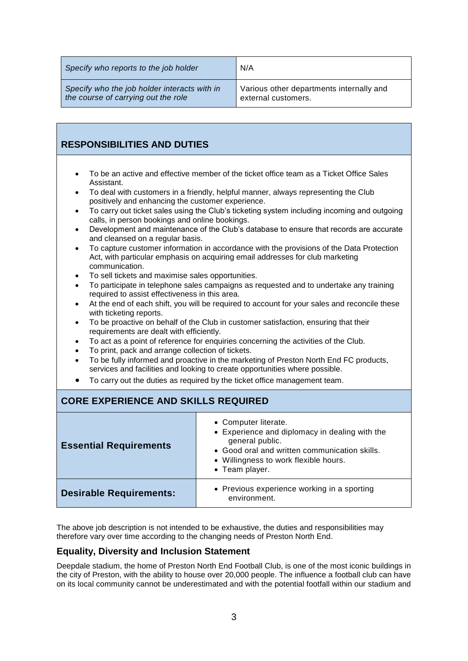| Specify who reports to the job holder        | N/A                                      |
|----------------------------------------------|------------------------------------------|
| Specify who the job holder interacts with in | Various other departments internally and |
| the course of carrying out the role          | external customers.                      |

## **RESPONSIBILITIES AND DUTIES**

- To be an active and effective member of the ticket office team as a Ticket Office Sales Assistant.
- To deal with customers in a friendly, helpful manner, always representing the Club positively and enhancing the customer experience.
- To carry out ticket sales using the Club's ticketing system including incoming and outgoing calls, in person bookings and online bookings.
- Development and maintenance of the Club's database to ensure that records are accurate and cleansed on a regular basis.
- To capture customer information in accordance with the provisions of the Data Protection Act, with particular emphasis on acquiring email addresses for club marketing communication.
- To sell tickets and maximise sales opportunities.
- To participate in telephone sales campaigns as requested and to undertake any training required to assist effectiveness in this area.
- At the end of each shift, you will be required to account for your sales and reconcile these with ticketing reports.
- To be proactive on behalf of the Club in customer satisfaction, ensuring that their requirements are dealt with efficiently.
- To act as a point of reference for enquiries concerning the activities of the Club.
- To print, pack and arrange collection of tickets.
- To be fully informed and proactive in the marketing of Preston North End FC products, services and facilities and looking to create opportunities where possible.
- To carry out the duties as required by the ticket office management team.

## **CORE EXPERIENCE AND SKILLS REQUIRED**

| <b>Essential Requirements</b>  | • Computer literate.<br>• Experience and diplomacy in dealing with the<br>general public.<br>• Good oral and written communication skills.<br>• Willingness to work flexible hours.<br>• Team player. |
|--------------------------------|-------------------------------------------------------------------------------------------------------------------------------------------------------------------------------------------------------|
| <b>Desirable Requirements:</b> | • Previous experience working in a sporting<br>environment.                                                                                                                                           |

The above job description is not intended to be exhaustive, the duties and responsibilities may therefore vary over time according to the changing needs of Preston North End.

## **Equality, Diversity and Inclusion Statement**

Deepdale stadium, the home of Preston North End Football Club, is one of the most iconic buildings in the city of Preston, with the ability to house over 20,000 people. The influence a football club can have on its local community cannot be underestimated and with the potential footfall within our stadium and